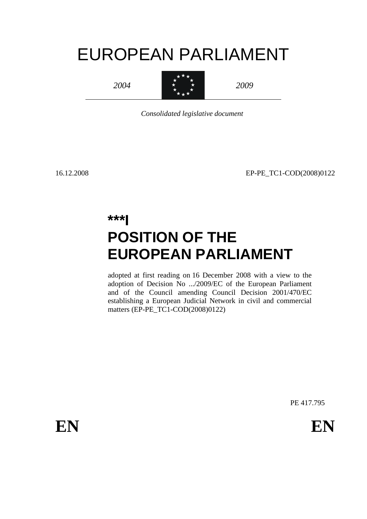# EUROPEAN PARLIAMENT

*2004*



*2009*

*Consolidated legislative document*

16.12.2008 EP-PE\_TC1-COD(2008)0122

# **\*\*\*I POSITION OF THE EUROPEAN PARLIAMENT**

adopted at first reading on 16 December 2008 with a view to the adoption of Decision No .../2009/EC of the European Parliament and of the Council amending Council Decision 2001/470/EC establishing a European Judicial Network in civil and commercial matters (EP-PE\_TC1-COD(2008)0122)

PE 417.795

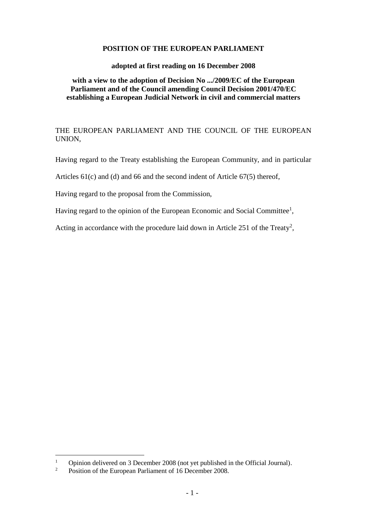#### **POSITION OF THE EUROPEAN PARLIAMENT**

#### **adopted at first reading on 16 December 2008**

#### **with a view to the adoption of Decision No .../2009/EC of the European Parliament and of the Council amending Council Decision 2001/470/EC establishing a European Judicial Network in civil and commercial matters**

THE EUROPEAN PARLIAMENT AND THE COUNCIL OF THE EUROPEAN UNION,

Having regard to the Treaty establishing the European Community, and in particular

Articles 61(c) and (d) and 66 and the second indent of Article 67(5) thereof,

Having regard to the proposal from the Commission,

Having regard to the opinion of the European Economic and Social Committee<sup>1</sup>,

Acting in accordance with the procedure laid down in Article 251 of the Treaty<sup>2</sup>,

<sup>&</sup>lt;sup>1</sup> Opinion delivered on 3 December 2008 (not yet published in the Official Journal).<br><sup>2</sup> Position of the European Parliament of 16 December 2008

<sup>2</sup> Position of the European Parliament of 16 December 2008.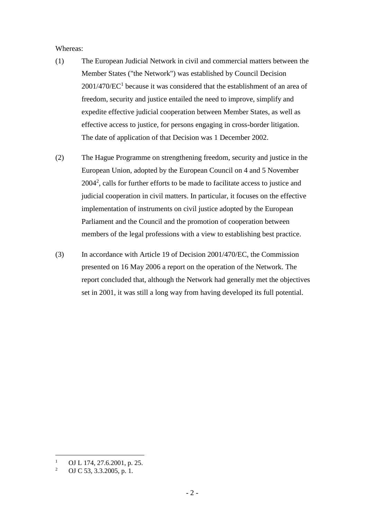Whereas:

- (1) The European Judicial Network in civil and commercial matters between the Member States ("the Network") was established by Council Decision  $2001/470/EC<sup>1</sup>$  because it was considered that the establishment of an area of freedom, security and justice entailed the need to improve, simplify and expedite effective judicial cooperation between Member States, as well as effective access to justice, for persons engaging in cross-border litigation. The date of application of that Decision was 1 December 2002.
- (2) The Hague Programme on strengthening freedom, security and justice in the European Union, adopted by the European Council on 4 and 5 November 2004<sup>2</sup> , calls for further efforts to be made to facilitate access to justice and judicial cooperation in civil matters. In particular, it focuses on the effective implementation of instruments on civil justice adopted by the European Parliament and the Council and the promotion of cooperation between members of the legal professions with a view to establishing best practice.
- (3) In accordance with Article 19 of Decision 2001/470/EC, the Commission presented on 16 May 2006 a report on the operation of the Network. The report concluded that, although the Network had generally met the objectives set in 2001, it was still a long way from having developed its full potential.

<sup>&</sup>lt;sup>1</sup> OJ L 174, 27.6.2001, p. 25.<br><sup>2</sup> OJ C 52, 2, 2, 2005, p. 1.

<sup>2</sup> OJ C 53, 3.3.2005, p. 1.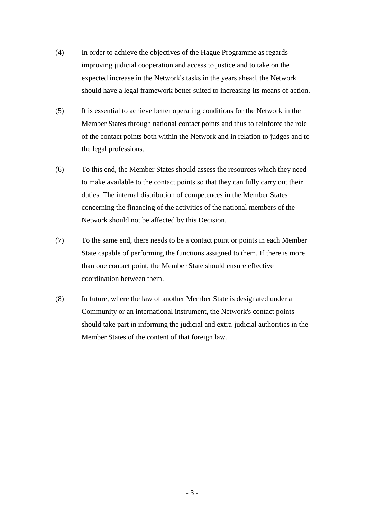- (4) In order to achieve the objectives of the Hague Programme as regards improving judicial cooperation and access to justice and to take on the expected increase in the Network's tasks in the years ahead, the Network should have a legal framework better suited to increasing its means of action.
- (5) It is essential to achieve better operating conditions for the Network in the Member States through national contact points and thus to reinforce the role of the contact points both within the Network and in relation to judges and to the legal professions.
- (6) To this end, the Member States should assess the resources which they need to make available to the contact points so that they can fully carry out their duties. The internal distribution of competences in the Member States concerning the financing of the activities of the national members of the Network should not be affected by this Decision.
- (7) To the same end, there needs to be a contact point or points in each Member State capable of performing the functions assigned to them. If there is more than one contact point, the Member State should ensure effective coordination between them.
- (8) In future, where the law of another Member State is designated under a Community or an international instrument, the Network's contact points should take part in informing the judicial and extra-judicial authorities in the Member States of the content of that foreign law.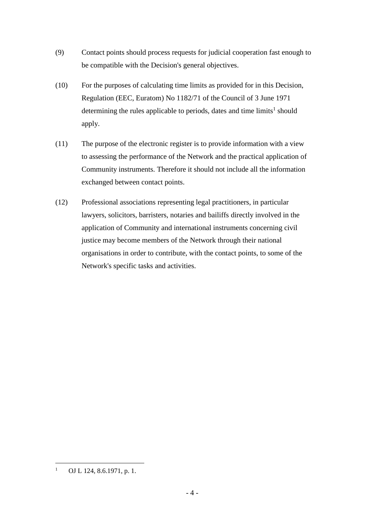- (9) Contact points should process requests for judicial cooperation fast enough to be compatible with the Decision's general objectives.
- (10) For the purposes of calculating time limits as provided for in this Decision, Regulation (EEC, Euratom) No 1182/71 of the Council of 3 June 1971 determining the rules applicable to periods, dates and time  $limits<sup>1</sup>$  should apply.
- (11) The purpose of the electronic register is to provide information with a view to assessing the performance of the Network and the practical application of Community instruments. Therefore it should not include all the information exchanged between contact points.
- (12) Professional associations representing legal practitioners, in particular lawyers, solicitors, barristers, notaries and bailiffs directly involved in the application of Community and international instruments concerning civil justice may become members of the Network through their national organisations in order to contribute, with the contact points, to some of the Network's specific tasks and activities.

<sup>1</sup> OJ L 124, 8.6.1971, p. 1.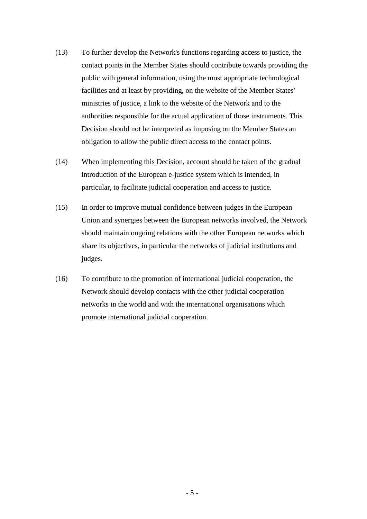- (13) To further develop the Network's functions regarding access to justice, the contact points in the Member States should contribute towards providing the public with general information, using the most appropriate technological facilities and at least by providing, on the website of the Member States' ministries of justice, a link to the website of the Network and to the authorities responsible for the actual application of those instruments. This Decision should not be interpreted as imposing on the Member States an obligation to allow the public direct access to the contact points.
- (14) When implementing this Decision, account should be taken of the gradual introduction of the European e-justice system which is intended, in particular, to facilitate judicial cooperation and access to justice.
- (15) In order to improve mutual confidence between judges in the European Union and synergies between the European networks involved, the Network should maintain ongoing relations with the other European networks which share its objectives, in particular the networks of judicial institutions and judges.
- (16) To contribute to the promotion of international judicial cooperation, the Network should develop contacts with the other judicial cooperation networks in the world and with the international organisations which promote international judicial cooperation.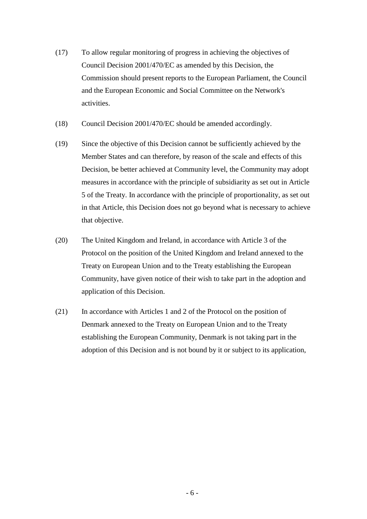- (17) To allow regular monitoring of progress in achieving the objectives of Council Decision 2001/470/EC as amended by this Decision, the Commission should present reports to the European Parliament, the Council and the European Economic and Social Committee on the Network's activities.
- (18) Council Decision 2001/470/EC should be amended accordingly.
- (19) Since the objective of this Decision cannot be sufficiently achieved by the Member States and can therefore, by reason of the scale and effects of this Decision, be better achieved at Community level, the Community may adopt measures in accordance with the principle of subsidiarity as set out in Article 5 of the Treaty. In accordance with the principle of proportionality, as set out in that Article, this Decision does not go beyond what is necessary to achieve that objective.
- (20) The United Kingdom and Ireland, in accordance with Article 3 of the Protocol on the position of the United Kingdom and Ireland annexed to the Treaty on European Union and to the Treaty establishing the European Community, have given notice of their wish to take part in the adoption and application of this Decision.
- (21) In accordance with Articles 1 and 2 of the Protocol on the position of Denmark annexed to the Treaty on European Union and to the Treaty establishing the European Community, Denmark is not taking part in the adoption of this Decision and is not bound by it or subject to its application,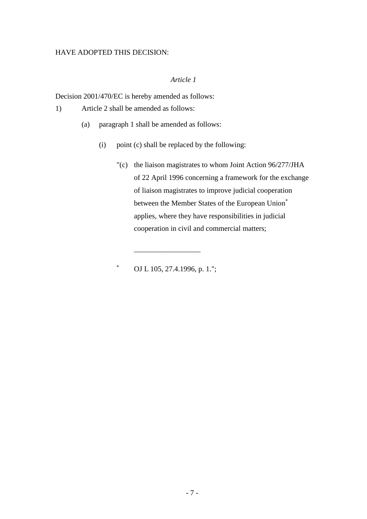#### HAVE ADOPTED THIS DECISION:

## *Article 1*

Decision 2001/470/EC is hereby amended as follows:

1) Article 2 shall be amended as follows:

- (a) paragraph 1 shall be amended as follows:
	- (i) point (c) shall be replaced by the following:
		- "(c) the liaison magistrates to whom Joint Action 96/277/JHA of 22 April 1996 concerning a framework for the exchange of liaison magistrates to improve judicial cooperation between the Member States of the European Union\* applies, where they have responsibilities in judicial cooperation in civil and commercial matters;

OJ L 105, 27.4.1996, p. 1.";

\_\_\_\_\_\_\_\_\_\_\_\_\_\_\_\_\_\_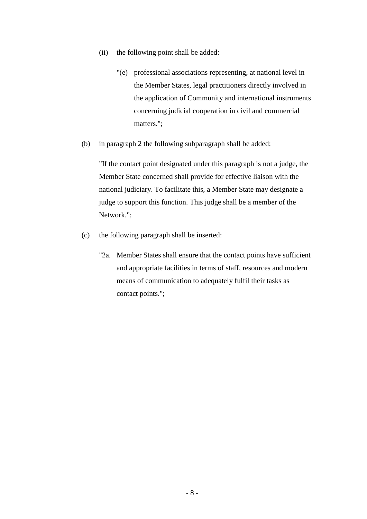- (ii) the following point shall be added:
	- "(e) professional associations representing, at national level in the Member States, legal practitioners directly involved in the application of Community and international instruments concerning judicial cooperation in civil and commercial matters.";
- (b) in paragraph 2 the following subparagraph shall be added:

"If the contact point designated under this paragraph is not a judge, the Member State concerned shall provide for effective liaison with the national judiciary. To facilitate this, a Member State may designate a judge to support this function. This judge shall be a member of the Network.";

- (c) the following paragraph shall be inserted:
	- "2a. Member States shall ensure that the contact points have sufficient and appropriate facilities in terms of staff, resources and modern means of communication to adequately fulfil their tasks as contact points.";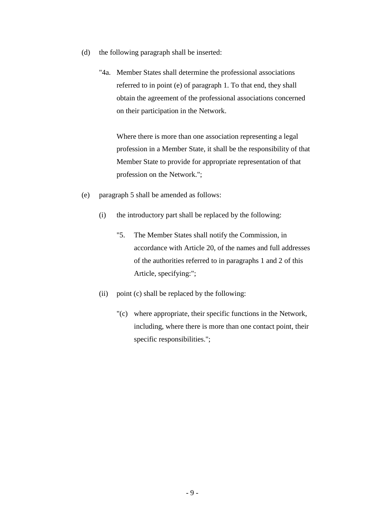- (d) the following paragraph shall be inserted:
	- "4a. Member States shall determine the professional associations referred to in point (e) of paragraph 1. To that end, they shall obtain the agreement of the professional associations concerned on their participation in the Network.

Where there is more than one association representing a legal profession in a Member State, it shall be the responsibility of that Member State to provide for appropriate representation of that profession on the Network.";

- (e) paragraph 5 shall be amended as follows:
	- (i) the introductory part shall be replaced by the following:
		- "5. The Member States shall notify the Commission, in accordance with Article 20, of the names and full addresses of the authorities referred to in paragraphs 1 and 2 of this Article, specifying:";
	- (ii) point (c) shall be replaced by the following:
		- "(c) where appropriate, their specific functions in the Network, including, where there is more than one contact point, their specific responsibilities.";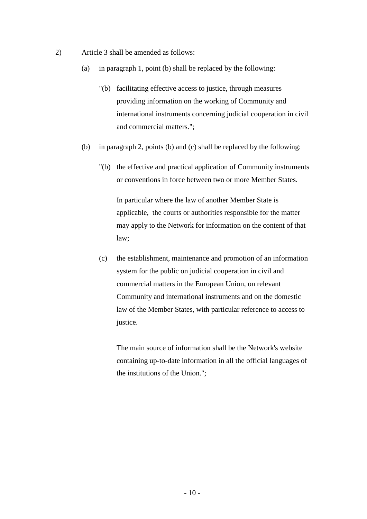- 2) Article 3 shall be amended as follows:
	- (a) in paragraph 1, point (b) shall be replaced by the following:
		- "(b) facilitating effective access to justice, through measures providing information on the working of Community and international instruments concerning judicial cooperation in civil and commercial matters.";
	- (b) in paragraph 2, points (b) and (c) shall be replaced by the following:
		- "(b) the effective and practical application of Community instruments or conventions in force between two or more Member States.

In particular where the law of another Member State is applicable, the courts or authorities responsible for the matter may apply to the Network for information on the content of that law;

(c) the establishment, maintenance and promotion of an information system for the public on judicial cooperation in civil and commercial matters in the European Union, on relevant Community and international instruments and on the domestic law of the Member States, with particular reference to access to justice.

The main source of information shall be the Network's website containing up-to-date information in all the official languages of the institutions of the Union.";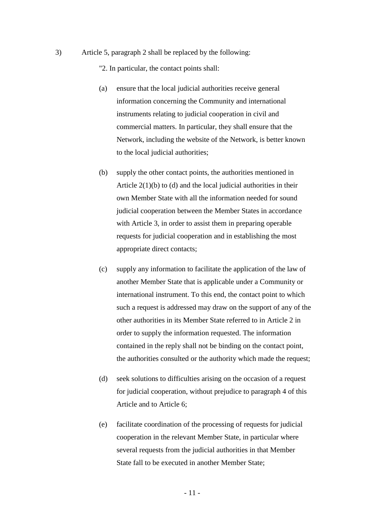3) Article 5, paragraph 2 shall be replaced by the following:

"2. In particular, the contact points shall:

- (a) ensure that the local judicial authorities receive general information concerning the Community and international instruments relating to judicial cooperation in civil and commercial matters. In particular, they shall ensure that the Network, including the website of the Network, is better known to the local judicial authorities;
- (b) supply the other contact points, the authorities mentioned in Article  $2(1)(b)$  to (d) and the local judicial authorities in their own Member State with all the information needed for sound judicial cooperation between the Member States in accordance with Article 3, in order to assist them in preparing operable requests for judicial cooperation and in establishing the most appropriate direct contacts;
- (c) supply any information to facilitate the application of the law of another Member State that is applicable under a Community or international instrument. To this end, the contact point to which such a request is addressed may draw on the support of any of the other authorities in its Member State referred to in Article 2 in order to supply the information requested. The information contained in the reply shall not be binding on the contact point, the authorities consulted or the authority which made the request;
- (d) seek solutions to difficulties arising on the occasion of a request for judicial cooperation, without prejudice to paragraph 4 of this Article and to Article 6;
- (e) facilitate coordination of the processing of requests for judicial cooperation in the relevant Member State, in particular where several requests from the judicial authorities in that Member State fall to be executed in another Member State;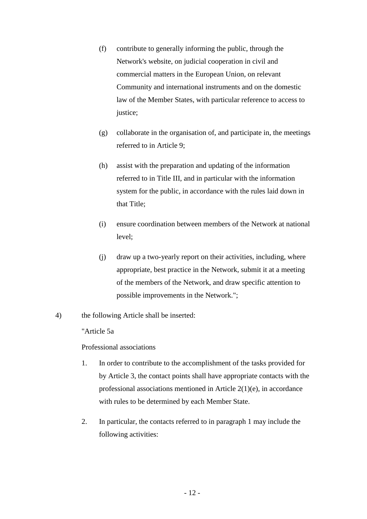- (f) contribute to generally informing the public, through the Network's website, on judicial cooperation in civil and commercial matters in the European Union, on relevant Community and international instruments and on the domestic law of the Member States, with particular reference to access to justice;
- (g) collaborate in the organisation of, and participate in, the meetings referred to in Article 9;
- (h) assist with the preparation and updating of the information referred to in Title III, and in particular with the information system for the public, in accordance with the rules laid down in that Title;
- (i) ensure coordination between members of the Network at national level;
- (j) draw up a two-yearly report on their activities, including, where appropriate, best practice in the Network, submit it at a meeting of the members of the Network, and draw specific attention to possible improvements in the Network.";
- 4) the following Article shall be inserted:

"Article 5a

Professional associations

- 1. In order to contribute to the accomplishment of the tasks provided for by Article 3, the contact points shall have appropriate contacts with the professional associations mentioned in Article 2(1)(e), in accordance with rules to be determined by each Member State.
- 2. In particular, the contacts referred to in paragraph 1 may include the following activities: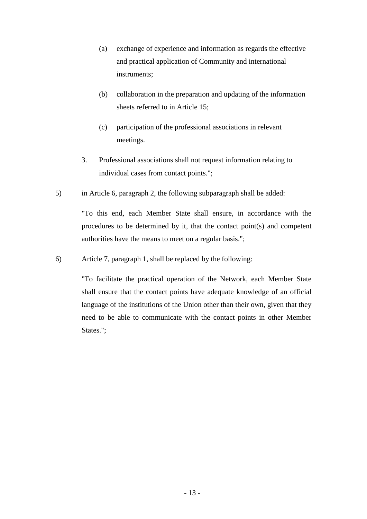- (a) exchange of experience and information as regards the effective and practical application of Community and international instruments;
- (b) collaboration in the preparation and updating of the information sheets referred to in Article 15;
- (c) participation of the professional associations in relevant meetings.
- 3. Professional associations shall not request information relating to individual cases from contact points.";
- 5) in Article 6, paragraph 2, the following subparagraph shall be added:

"To this end, each Member State shall ensure, in accordance with the procedures to be determined by it, that the contact point(s) and competent authorities have the means to meet on a regular basis.";

6) Article 7, paragraph 1, shall be replaced by the following:

"To facilitate the practical operation of the Network, each Member State shall ensure that the contact points have adequate knowledge of an official language of the institutions of the Union other than their own, given that they need to be able to communicate with the contact points in other Member States.";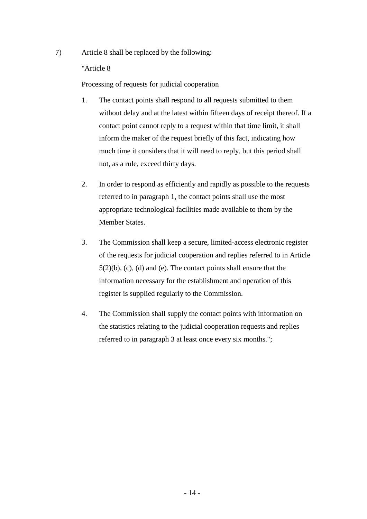7) Article 8 shall be replaced by the following:

"Article 8

Processing of requests for judicial cooperation

- 1. The contact points shall respond to all requests submitted to them without delay and at the latest within fifteen days of receipt thereof. If a contact point cannot reply to a request within that time limit, it shall inform the maker of the request briefly of this fact, indicating how much time it considers that it will need to reply, but this period shall not, as a rule, exceed thirty days.
- 2. In order to respond as efficiently and rapidly as possible to the requests referred to in paragraph 1, the contact points shall use the most appropriate technological facilities made available to them by the Member States.
- 3. The Commission shall keep a secure, limited-access electronic register of the requests for judicial cooperation and replies referred to in Article  $5(2)(b)$ , (c), (d) and (e). The contact points shall ensure that the information necessary for the establishment and operation of this register is supplied regularly to the Commission.
- 4. The Commission shall supply the contact points with information on the statistics relating to the judicial cooperation requests and replies referred to in paragraph 3 at least once every six months.";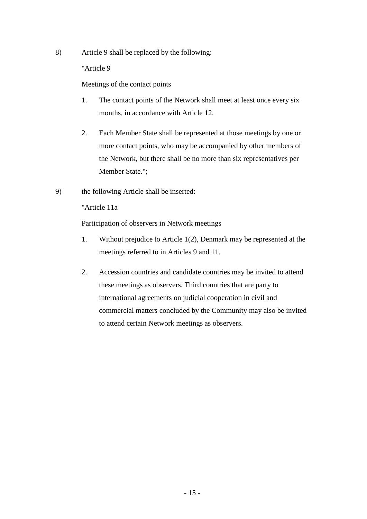8) Article 9 shall be replaced by the following:

"Article 9

Meetings of the contact points

- 1. The contact points of the Network shall meet at least once every six months, in accordance with Article 12.
- 2. Each Member State shall be represented at those meetings by one or more contact points, who may be accompanied by other members of the Network, but there shall be no more than six representatives per Member State.";
- 9) the following Article shall be inserted:

"Article 11a

Participation of observers in Network meetings

- 1. Without prejudice to Article 1(2), Denmark may be represented at the meetings referred to in Articles 9 and 11.
- 2. Accession countries and candidate countries may be invited to attend these meetings as observers. Third countries that are party to international agreements on judicial cooperation in civil and commercial matters concluded by the Community may also be invited to attend certain Network meetings as observers.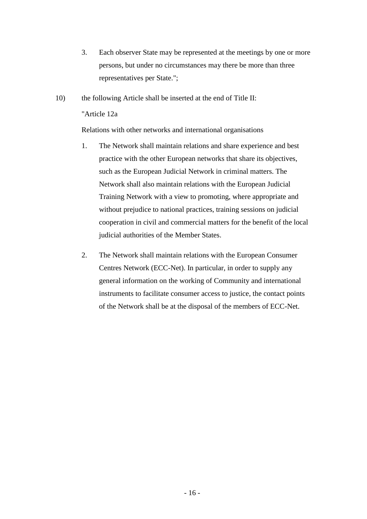- 3. Each observer State may be represented at the meetings by one or more persons, but under no circumstances may there be more than three representatives per State.";
- 10) the following Article shall be inserted at the end of Title II: "Article 12a

Relations with other networks and international organisations

- 1. The Network shall maintain relations and share experience and best practice with the other European networks that share its objectives, such as the European Judicial Network in criminal matters. The Network shall also maintain relations with the European Judicial Training Network with a view to promoting, where appropriate and without prejudice to national practices, training sessions on judicial cooperation in civil and commercial matters for the benefit of the local judicial authorities of the Member States.
- 2. The Network shall maintain relations with the European Consumer Centres Network (ECC-Net). In particular, in order to supply any general information on the working of Community and international instruments to facilitate consumer access to justice, the contact points of the Network shall be at the disposal of the members of ECC-Net.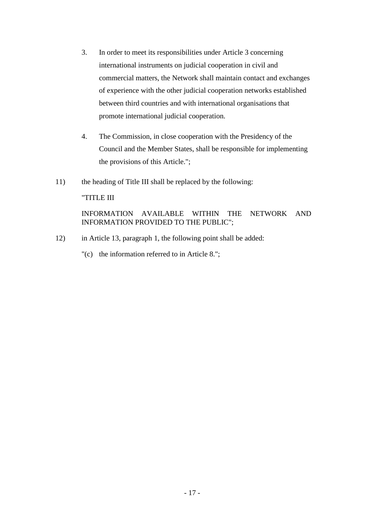- 3. In order to meet its responsibilities under Article 3 concerning international instruments on judicial cooperation in civil and commercial matters, the Network shall maintain contact and exchanges of experience with the other judicial cooperation networks established between third countries and with international organisations that promote international judicial cooperation.
- 4. The Commission, in close cooperation with the Presidency of the Council and the Member States, shall be responsible for implementing the provisions of this Article.";
- 11) the heading of Title III shall be replaced by the following:

#### "TITLE III

## INFORMATION AVAILABLE WITHIN THE NETWORK AND INFORMATION PROVIDED TO THE PUBLIC";

- 12) in Article 13, paragraph 1, the following point shall be added:
	- "(c) the information referred to in Article 8.";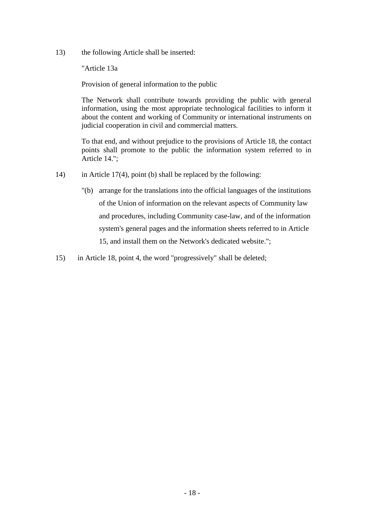13) the following Article shall be inserted:

"Article 13a

Provision of general information to the public

The Network shall contribute towards providing the public with general information, using the most appropriate technological facilities to inform it about the content and working of Community or international instruments on judicial cooperation in civil and commercial matters.

To that end, and without prejudice to the provisions of Article 18, the contact points shall promote to the public the information system referred to in Article 14.";

- 14) in Article 17(4), point (b) shall be replaced by the following:
	- "(b) arrange for the translations into the official languages of the institutions of the Union of information on the relevant aspects of Community law and procedures, including Community case-law, and of the information system's general pages and the information sheets referred to in Article 15, and install them on the Network's dedicated website.";
- 15) in Article 18, point 4, the word "progressively" shall be deleted;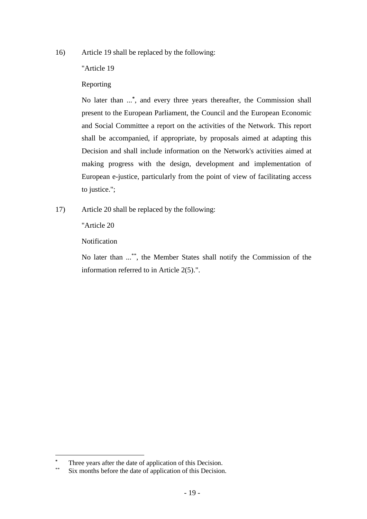16) Article 19 shall be replaced by the following:

# "Article 19

# Reporting

No later than ...**\*** , and every three years thereafter, the Commission shall present to the European Parliament, the Council and the European Economic and Social Committee a report on the activities of the Network. This report shall be accompanied, if appropriate, by proposals aimed at adapting this Decision and shall include information on the Network's activities aimed at making progress with the design, development and implementation of European e-justice, particularly from the point of view of facilitating access to justice.";

17) Article 20 shall be replaced by the following:

"Article 20

Notification

No later than ...\*\*, the Member States shall notify the Commission of the information referred to in Article 2(5).".

**<sup>\*</sup>** Three years after the date of application of this Decision.

Six months before the date of application of this Decision.